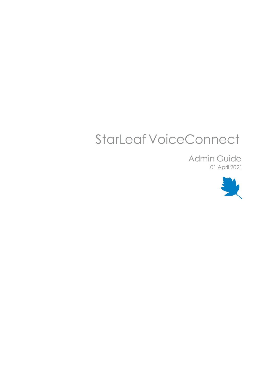# StarLeaf VoiceConnect

Admin Guide 01 April 2021

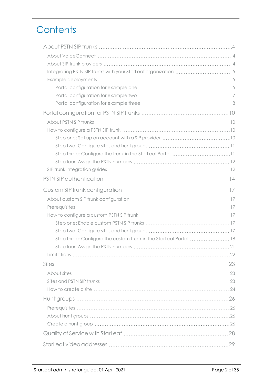## **Contents**

| Step three: Configure the custom trunk in the StarLeaf Portal  18 |  |
|-------------------------------------------------------------------|--|
|                                                                   |  |
|                                                                   |  |
|                                                                   |  |
|                                                                   |  |
|                                                                   |  |
|                                                                   |  |
|                                                                   |  |
|                                                                   |  |
|                                                                   |  |
|                                                                   |  |
|                                                                   |  |
|                                                                   |  |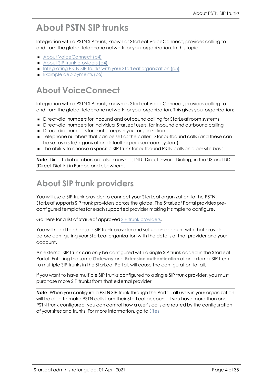## <span id="page-3-0"></span>**About PSTN SIP trunks**

Integration with a PSTN SIP trunk, known as StarLeaf VoiceConnect, provides calling to and from the global telephone network for your organization. In this topic:

- About [VoiceConnect](#page-3-1) (p4)
- $\blacksquare$  About SIP trunk [providers](#page-3-2) (p4)
- <span id="page-3-1"></span>■ Integrating PSTN SIP trunks with your StarLeaf [organization](#page-4-0) (p5)
- $\blacksquare$  Example [deployments](#page-4-1) (p5)

### **About VoiceConnect**

Integration with a PSTN SIP trunk, known as StarLeaf VoiceConnect, provides calling to and from the global telephone network for your organization. This gives your organization:

- <sup>n</sup> Direct-dial numbers for inbound and outbound calling for StarLeaf room systems
- <sup>n</sup> Direct-dial numbers for individual StarLeaf users, for inbound and outbound calling
- <sup>n</sup> Direct-dial numbers for hunt groups in your organization
- <sup>n</sup> Telephone numbers that can be set as the caller ID for outbound calls (and these can be set as a site/organization default or per user/room system)
- <sup>n</sup> The ability to choose a specific SIP trunk for outbound PSTN calls on a per site basis

<span id="page-3-2"></span>**Note:** Direct-dial numbers are also known as DID (Direct Inward Dialing) in the US and DDI (Direct Dial-In) in Europe and elsewhere.

#### **About SIP trunk providers**

You will use a SIP trunk provider to connect your StarLeaf organization to the PSTN. StarLeaf supports SIP trunk providers across the globe. The StarLeaf Portal provides preconfigured templates for each supported provider making it simple to configure.

Go here for a list of StarLeaf approved SIP trunk [providers.](#page-9-0)

You will need to choose a SIP trunk provider and set up an account with that provider before configuring your StarLeaf organization with the details of that provider and your account.

An external SIP trunk can only be configured with a single SIP trunk added in the StarLeaf Portal. Entering the same **Gateway** and **Extension authentication** of an external SIP trunk to multiple SIP trunks in the StarLeaf Portal, will cause the configuration to fail.

If you want to have multiple SIP trunks configured to a single SIP trunk provider, you must purchase more SIP trunks from that external provider.

**Note:** When you configure a PSTN SIP trunk through the Portal, all users in your organization will be able to make PSTN calls from their StarLeaf account. If you have more than one PSTN trunk configured, you can control how a user's calls are routed by the configuration of your sites and trunks. For more information, go to [Sites.](#page-22-0)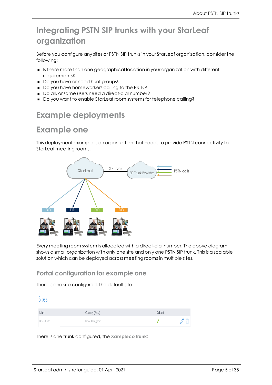### <span id="page-4-0"></span>**Integrating PSTN SIP trunks with your StarLeaf organization**

Before you configure any sites or PSTN SIP trunks in your StarLeaf organization, consider the following:

- <sup>n</sup> Is there more than one geographical location in your organization with different requirements?
- Do you have or need hunt groups?
- Do you have homeworkers calling to the PSTN?
- <span id="page-4-1"></span>Do all, or some users need a direct-dial number?
- <sup>n</sup> Do you want to enable StarLeaf room systems for telephone calling?

### **Example deployments**

### **Example one**

This deployment example is an organization that needs to provide PSTN connectivity to StarLeaf meeting rooms.



Every meeting room system is allocated with a direct-dial number. The above diagram shows a small organization with only one site and only one PSTN SIP trunk. This is a scalable solution which can be deployed across meeting rooms in multiple sites.

#### <span id="page-4-2"></span>**Portal configuration for example one**

There is one site configured, the default site:

| Label        | Country (Area) | Default |  |
|--------------|----------------|---------|--|
| Default site | United Kingdom |         |  |

There is one trunk configured, the **Xampleco trunk**: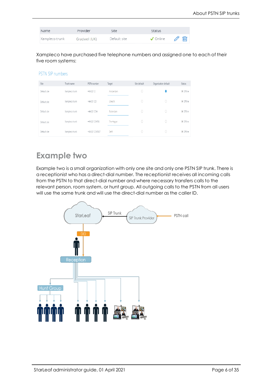| Name           | Provider      | Site         | Status                                      |  |
|----------------|---------------|--------------|---------------------------------------------|--|
| Xampleco trunk | Gradwell (UK) | Default site | $\sqrt{ }$ Online $\sqrt{ }$ $\overline{m}$ |  |

Xampleco have purchased five telephone numbers and assigned one to each of their five room systems:

#### PSTN SIP numbers

| Site         | Trunk name     | PSTN number     | Target    | Site default | Organization default | Status    |
|--------------|----------------|-----------------|-----------|--------------|----------------------|-----------|
| Default site | Xampleco trunk | $+44(0)12$      | Amsterdam | U            |                      | X Offline |
| Default site | Xampleco trunk | $+44(0)123$     | Utrecht   | 0            |                      | X Offline |
| Default site | Xampleco trunk | +44 (0) 1234    | Rotterdam | 0            | C                    | X Offline |
| Default site | Xampleco trunk | +44 (0) 123456  | The Hague | 0            | 0                    | X Offline |
| Default site | Xampleco trunk | +44 (0) 1234567 | Delft     | 0            | C                    | X Offline |

### **Example two**

Example two is a small organization with only one site and only one PSTN SIP trunk. There is a receptionist who has a direct-dial number. The receptionist receives all incoming calls from the PSTN to that direct-dial number and where necessary transfers calls to the relevant person, room system, or hunt group. All outgoing calls to the PSTN from all users will use the same trunk and will use the direct-dial number as the caller ID.

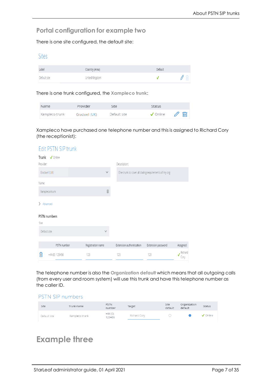#### <span id="page-6-0"></span>**Portal configuration for example two**

There is one site configured, the default site:

#### Sites

| Label        | Country (Area) | Default |  |
|--------------|----------------|---------|--|
| Default site | United Kingdom |         |  |

There is one trunk configured, the **Xampleco trunk**:

| Name           | Provider      | Site         | Status                                                 |  |
|----------------|---------------|--------------|--------------------------------------------------------|--|
| Xampleco trunk | Gradwell (UK) | Default site | $\sqrt{ }$ Online $\sqrt{ }$ $\overline{\mathfrak{m}}$ |  |

Xampleco have purchased one telephone number and this is assigned to Richard Cory (the receptionist):

| Edit PSTN SIP trunk          |                                                                                                                                                                                                                                                                                                                                                                                                                                   |                                                       |                    |                                 |
|------------------------------|-----------------------------------------------------------------------------------------------------------------------------------------------------------------------------------------------------------------------------------------------------------------------------------------------------------------------------------------------------------------------------------------------------------------------------------|-------------------------------------------------------|--------------------|---------------------------------|
| $\sqrt{}$ Online<br>Trunk    |                                                                                                                                                                                                                                                                                                                                                                                                                                   |                                                       |                    |                                 |
| Provider:                    |                                                                                                                                                                                                                                                                                                                                                                                                                                   | Description:                                          |                    |                                 |
| Gradwell (UK)                | $\vee$                                                                                                                                                                                                                                                                                                                                                                                                                            | One trunk to cover all dialing requirements of my org |                    |                                 |
| Name:                        |                                                                                                                                                                                                                                                                                                                                                                                                                                   |                                                       |                    |                                 |
| Xampleco trunk               | $\begin{tabular}{ c c } \hline \hline \multicolumn{3}{ c }{0} & \multicolumn{3}{ c }{0} & \multicolumn{3}{ c }{0} & \multicolumn{3}{ c }{0} & \multicolumn{3}{ c }{0} & \multicolumn{3}{ c }{0} & \multicolumn{3}{ c }{0} & \multicolumn{3}{ c }{0} & \multicolumn{3}{ c }{0} & \multicolumn{3}{ c }{0} & \multicolumn{3}{ c }{0} & \multicolumn{3}{ c }{0} & \multicolumn{3}{ c }{0} & \multicolumn{3}{ c }{0} & \multicolumn{3$ |                                                       |                    |                                 |
| Advanced<br>$\left( \right)$ |                                                                                                                                                                                                                                                                                                                                                                                                                                   |                                                       |                    |                                 |
| <b>PSTN</b> numbers          |                                                                                                                                                                                                                                                                                                                                                                                                                                   |                                                       |                    |                                 |
| Site:                        |                                                                                                                                                                                                                                                                                                                                                                                                                                   |                                                       |                    |                                 |
| Default site                 | $\vee$                                                                                                                                                                                                                                                                                                                                                                                                                            |                                                       |                    |                                 |
| PSTN number                  | Registration name                                                                                                                                                                                                                                                                                                                                                                                                                 | Extension authentication                              | Extension password | Assigned                        |
| 侕<br>+44 (0) 123456          | 123                                                                                                                                                                                                                                                                                                                                                                                                                               | 123                                                   | 123                | Richard<br>$\checkmark$<br>Cory |

The telephone number is also the **Organization default** which means that all outgoing calls (from every user and room system) will use this trunk and have this telephone number as the caller ID.

#### PSTN SIP numbers

| Site         | Trunk name     | <b>PSTN</b><br>number | Target       | Site<br>default | Organization<br>default | <b>Status</b>      |
|--------------|----------------|-----------------------|--------------|-----------------|-------------------------|--------------------|
| Default site | Xampleco trunk | $+44(0)$<br>23456     | Richard Cory |                 |                         | $\sqrt{\ }$ Online |

### **Example three**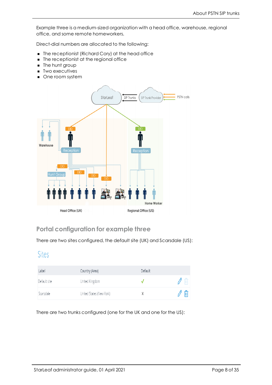Example three is a medium-sized organization with a head office, warehouse, regional office, and some remote homeworkers.

Direct-dial numbers are allocated to the following:

- The receptionist (Richard Cory) at the head office
- $\blacksquare$  The receptionist at the regional office
- **n** The hunt group
- **n** Two executives
- **n** One room system



#### <span id="page-7-0"></span>**Portal configuration for example three**

There are two sites configured, the default site (UK) and Scarsdale (US):

#### Sites

| Label        | Country (Area)           | Default |             |
|--------------|--------------------------|---------|-------------|
| Default site | United Kingdom           |         | $\parallel$ |
| Scarsdale    | United States (New York) |         | 侕           |

There are two trunks configured (one for the UK and one for the US):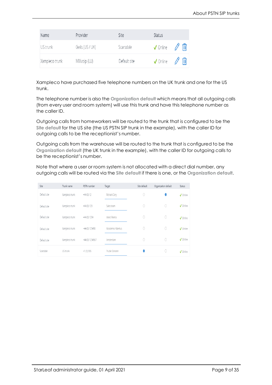| Name           | Provider        | Site         | <b>Status</b>                                                             |
|----------------|-----------------|--------------|---------------------------------------------------------------------------|
| US trunk       | Geils (US / UK) | Scarsdale    | $\sqrt{0}$ nline $\sqrt{m}$                                               |
| Xampleco trunk | MIXvoip (LU)    | Default site | $\sqrt{\phantom{a}}$ Online $\sqrt{\phantom{a}}$ $\overline{\phantom{a}}$ |

Xampleco have purchased five telephone numbers on the UK trunk and one for the US trunk.

The telephone number is also the **Organization default** which means that all outgoing calls (from every user and room system) will use this trunk and have this telephone number as the caller ID.

Outgoing calls from homeworkers will be routed to the trunk that is configured to be the **Site default** for the US site (the US PSTN SIP trunk in the example), with the caller ID for outgoing calls to be the receptionist's number.

Outgoing calls from the warehouse will be routed to the trunk that is configured to be the **Organization default** (the UK trunk in the example), with the caller ID for outgoing calls to be the receptionist's number.

Note that where a user or room system is not allocated with a direct dial number, any outgoing calls will be routed via the **Site default** if there is one, or the **Organization default**.

| Site         | Trunk name     | PSTN number     | Target            | Site default | Organization default | <b>Status</b> |
|--------------|----------------|-----------------|-------------------|--------------|----------------------|---------------|
| Default site | Xampleco trunk | $+44(0)$ 12     | Richard Cory      | 0            |                      | ✔ Online      |
| Default site | Xampleco trunk | $+44(0)$ 123    | Sales team        | $\circ$      | 0                    | ✔ Online      |
| Default site | Xampleco trunk | +44 (0) 1234    | Alexis Reena      | $\circ$      | 0                    | ✔ Online      |
| Default site | Xampleco trunk | +44 (0) 123456  | Nicodemo Albertus | $\circ$      | 0                    | ✔ Online      |
| Default site | Xampleco trunk | +44 (0) 1234567 | Amsterdam         | $\circ$      | 0                    | ✔ Online      |
| Scarsdale    | US trunk       | $+1(1)$ 555     | Trudie Doriane    |              | 0                    | ✔ Online      |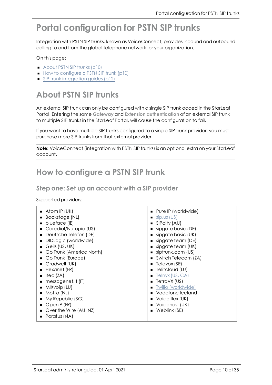## <span id="page-9-0"></span>**Portal configuration for PSTN SIP trunks**

Integration with PSTN SIP trunks, known as VoiceConnect, provides inbound and outbound calling to and from the global telephone network for your organization.

On this page:

- About [PSTN SIP](#page-9-1) trunks (p10)
- <span id="page-9-1"></span>■ How to [configure](#page-9-2) a PSTN SIP trunk (p10)
- $\blacksquare$  SIP trunk [integration](#page-11-1) guides (p12)

## **About PSTN SIP trunks**

An external SIP trunk can only be configured with a single SIP trunk added in the StarLeaf Portal. Entering the same **Gateway** and **Extension authentication** of an external SIP trunk to multiple SIP trunks in the StarLeaf Portal, will cause the configuration to fail.

If you want to have multiple SIP trunks configured to a single SIP trunk provider, you must purchase more SIP trunks from that external provider.

<span id="page-9-2"></span>**Note:** VoiceConnect (integration with PSTN SIP trunks) is an optional extra on your StarLeaf account.

### **How to configure a PSTN SIP trunk**

#### <span id="page-9-3"></span>**Step one: Set up an account with a SIP provider**

Supported providers:

| $\blacksquare$ Atom IP (UK) | ■ Pure IP (worldwide)          |
|-----------------------------|--------------------------------|
| Backstage (NL)              | $\blacksquare$ sip.us (US)     |
| blueface (IE)               | $\blacksquare$ SIPcity (AU)    |
| Coredial/Nutopia (US)       | sipgate basic (DE)             |
| Deutsche Telefon (DE)       | sipgate basic (UK)             |
| DIDLogic (worldwide)        | sipgate team (DE)              |
| Geils (US, UK)              | sipgate team (UK)              |
| Go Trunk (America North)    | siptrunk.com (US)              |
| Go Trunk (Europe)           | ■ Switch Telecom (ZA)          |
| Gradwell (UK)               | $\blacksquare$ Telavox (SE)    |
| Hexanet (FR)                | <b>Telitcloud (LU)</b>         |
| Itec (ZA)                   | $\blacksquare$ Telnyx (US, CA) |
| messagenet.it (IT)          | TetraVX (US)<br>$\blacksquare$ |
| MIXvoip (LU)                | Twilio (worldwide)             |
| Motto (NL)                  | Vodafone Iceland               |
| My Republic (SG)            | $\blacksquare$ Voice flex (UK) |
| OpenIP (FR)<br>٠            | ■ Voicehost (UK)               |
| Over the Wire (AU, NZ)      | Weblink (SE)                   |
| Paratus (NA)                |                                |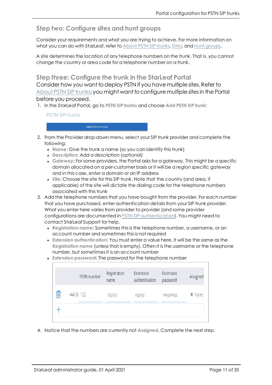#### <span id="page-10-0"></span>**Step two: Configure sites and hunt groups**

Consider your requirements and what you are trying to achieve. For more information on what you can do with StarLeaf, refer to [About](#page-3-0) PSTN SIP trunks, [Sites](#page-22-0), and Hunt [groups](#page-25-0).

A site determines the location of any telephone numbers on the trunk. That is, you cannot change the country or area code for a telephone number on a trunk.

<span id="page-10-1"></span>**Step three: Configure the trunk in the StarLeaf Portal**

Consider how you want to deploy PSTN if you have multiple sites. Refer to [About](#page-3-0) PSTN SIP trunks; you might want to configure multiple sites in the Portal before you proceed.

1. In the StarLeaf Portal, go to **PSTN SIP trunks** and choose **Add PSTN SIP trunk**:

**PSTN SIP trunks** 

2. From the Provider drop-down menu, select your SIP trunk provider and complete the following:

- <sup>l</sup> **Name**: Give the trunk a name (so you can identify this trunk)
- **Description:** Add a description (optional)

Add PSTN SIP trunk

- **Gateway: For some providers, the Portal asks for a gateway. This might be a specific** domain allocated on a per-customer basis or it will be a region specific gateway and in this case, enter a domain or an IP address
- **Site:** Choose the site for this SIP trunk. Note that the country (and area, if applicable) of the site will dictate the dialing code for the telephone numbers associated with this trunk
- 3. Add the telephone numbers that you have bought from the provider. For each number that you have purchased, enter authentication details from your SIP trunk provider. What you enter here varies from provider to provider (and some provider configurations are documented in PSTN SIP [authentication\)](#page-13-0). You might need to contact StarLeaf Support for help.
	- <sup>l</sup> **Registration name**: Sometimes this is the telephone number, a username, or an account number and sometimes this is not required
	- <sup>l</sup> **Extension authentication**: You must enter a value here. It will be the same as the **Registration name** (unless that is empty). Often it is the username or the telephone number, but sometimes it is an account number
	- **.** Extension password: The password for the telephone number



4. Notice that the numbers are currently not **Assigned**. Complete the next step.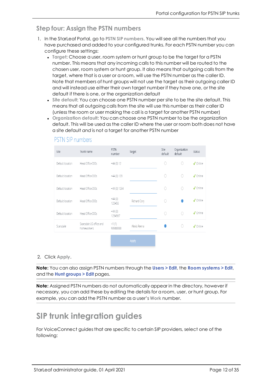#### <span id="page-11-0"></span>**Step four: Assign the PSTN numbers**

- 1. In the StarLeaf Portal, go to **PSTN SIP numbers**. You will see all the numbers that you have purchased and added to your configured trunks. For each PSTN number you can configure these settings:
	- **Target: Choose a user, room system or hunt group to be the target for a PSTN** number. This means that any incoming calls to this number will be routed to the chosen user, room system or hunt group. It also means that outgoing calls from the target, where that is a user or a room, will use the PSTN number as the caller ID. Note that members of hunt groups will not use the target as their outgoing caller ID and will instead use either their own target number if they have one, or the site default if there is one, or the organization default
	- <sup>l</sup> **Site default**: You can choose one PSTN number per site to be the site default. This means that all outgoing calls from the site will use this number as their caller ID (unless the room or user making the call is a target for another PSTN number)
	- <sup>l</sup> **Organization default**: You can choose one PSTN number to be the organization default. This will be used as the caller ID where the user or room both does not have a site default *and* is not a target for another PSTN number



#### **PSTN SIP numbers**

#### 2. Click **Apply**.

**Note:** You can also assign PSTN numbers through the **Users > Edit**, the **Room systems > Edit**, and the **Hunt groups > Edit** pages.

<span id="page-11-1"></span>**Note:** Assigned PSTN numbers do not automatically appear in the directory, however if necessary, you can add these by editing the details for a room, user, or hunt group. For example, you can add the PSTN number as a user's **Work** number.

## **SIP trunk integration guides**

For VoiceConnect guides that are specific to certain SIP providers, select one of the following: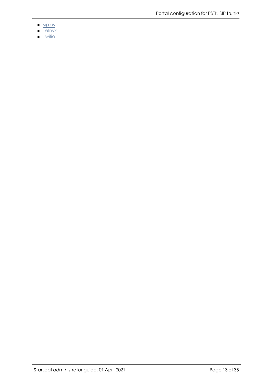- $\overline{\mathsf{sp.us}}$
- $\overline{\text{Telnyx}}$
- $\nightharpoonup$  Twilio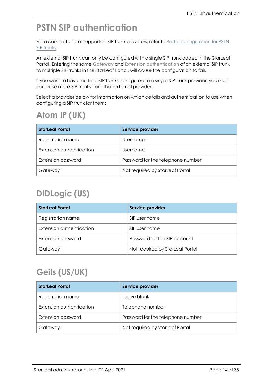## <span id="page-13-0"></span>**PSTN SIP authentication**

For a complete list of supported SIP trunk providers, refer to Portal [configuration](#page-9-0) for PSTN SIP [trunks](#page-9-0).

An external SIP trunk can only be configured with a single SIP trunk added in the StarLeaf Portal. Entering the same **Gateway** and **Extension authentication** of an external SIP trunk to multiple SIP trunks in the StarLeaf Portal, will cause the configuration to fail.

If you want to have multiple SIP trunks configured to a single SIP trunk provider, you must purchase more SIP trunks from that external provider.

Select a provider below for information on which details and authentication to use when configuring a SIP trunk for them:

## **Atom IP (UK)**

| <b>StarLeaf Portal</b>   | Service provider                  |
|--------------------------|-----------------------------------|
| Registration name        | Username                          |
| Extension authentication | Username                          |
| Extension password       | Password for the telephone number |
| Gateway                  | Not required by StarLeaf Portal   |

## **DIDLogic (US)**

| <b>StarLeaf Portal</b>   | Service provider                |
|--------------------------|---------------------------------|
| Registration name        | SIP user name                   |
| Extension authentication | SIP user name                   |
| Extension password       | Password for the SIP account    |
| Gateway                  | Not required by StarLeaf Portal |

## **Geils (US/UK)**

| <b>StarLeaf Portal</b>   | Service provider                  |
|--------------------------|-----------------------------------|
| Registration name        | Leave blank                       |
| Extension authentication | Telephone number                  |
| Extension password       | Password for the telephone number |
| Gateway                  | Not required by StarLeaf Portal   |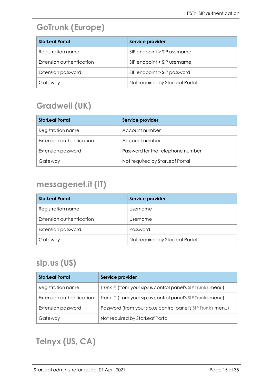## **GoTrunk (Europe)**

| <b>StarLeaf Portal</b>   | Service provider                |
|--------------------------|---------------------------------|
| Registration name        | SIP endpoint > SIP username     |
| Extension authentication | SIP endpoint > SIP username     |
| Extension password       | SIP endpoint > SIP password     |
| Gateway                  | Not required by StarLeaf Portal |

## **Gradwell (UK)**

| <b>StarLeaf Portal</b>   | Service provider                  |
|--------------------------|-----------------------------------|
| Registration name        | Account number                    |
| Extension authentication | Account number                    |
| Extension password       | Password for the telephone number |
| Gateway                  | Not required by StarLeaf Portal   |

### **messagenet.it (IT)**

| <b>StarLeaf Portal</b>   | Service provider                |
|--------------------------|---------------------------------|
| Registration name        | Username                        |
| Extension authentication | Username                        |
| Extension password       | Password                        |
| Gateway                  | Not required by StarLeaf Portal |

### **sip.us (US)**

| <b>StarLeaf Portal</b>   | Service provider                                            |
|--------------------------|-------------------------------------------------------------|
| Registration name        | Trunk # (from your sip.us control panel's SIP Trunks menu)  |
| Extension authentication | Trunk # (from your sip.us control panel's SIP Trunks menu)  |
| Extension password       | Password (from your sip.us control panel's SIP Trunks menu) |
| Gateway                  | Not required by StarLeaf Portal                             |

## **Telnyx (US, CA)**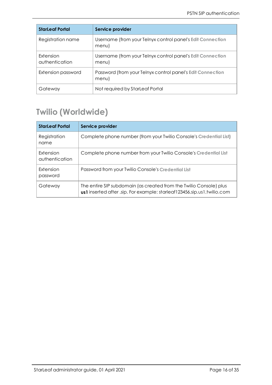| <b>StarLeaf Portal</b>      | Service provider                                                    |
|-----------------------------|---------------------------------------------------------------------|
| Registration name           | Username (from your Telnyx control panel's Edit Connection<br>menu) |
| Extension<br>authentication | Username (from your Telnyx control panel's Edit Connection<br>menu) |
| Extension password          | Password (from your Telnyx control panel's Edit Connection<br>menu) |
| Gateway                     | Not required by StarLeaf Portal                                     |

## **Twilio (Worldwide)**

| <b>StarLeaf Portal</b>      | Service provider                                                                                                                              |
|-----------------------------|-----------------------------------------------------------------------------------------------------------------------------------------------|
| Registration<br>name        | Complete phone number (from your Twilio Console's Credential List)                                                                            |
| Extension<br>authentication | Complete phone number from your Twilio Console's Credential List                                                                              |
| Extension<br>password       | Password from your Twilio Console's Credential List                                                                                           |
| Gateway                     | The entire SIP subdomain (as created from the Twilio Console) plus<br>us1 inserted after .sip. For example: starleaf123456.sip.us1.twilio.com |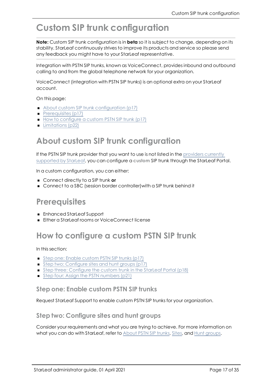## <span id="page-16-0"></span>**Custom SIP trunk configuration**

**Note:** Custom SIP trunk configuration is in **beta** so it is subject to change, depending on its stability. StarLeaf continuously strives to improve its products and service so please send any feedback you might have to your StarLeaf representative.

Integration with PSTN SIP trunks, known as VoiceConnect, provides inbound and outbound calling to and from the global telephone network for your organization.

VoiceConnect (integration with PSTN SIP trunks) is an optional extra on your StarLeaf account.

On this page:

- About custom SIP trunk [configuration](#page-16-1) (p17)
- $\blacksquare$  [Prerequisites](#page-16-2) (p17)
- <span id="page-16-1"></span>■ How to [configure](#page-16-3) a custom PSTN SIP trunk (p17)
- **n** [Limitations](#page-21-0) (p22)

#### **About custom SIP trunk configuration**

If the PSTN SIP trunk provider that you want to use is not listed in the [providers](#page-9-0) currently [supported](#page-9-0) by StarLeaf, you can configure a **custom** SIP trunk through the StarLeaf Portal.

In a custom configuration, you can either:

- <span id="page-16-2"></span>■ Connect directly to a SIP trunk or
- Connect to a SBC (session border controller) with a SIP trunk behind it

#### **Prerequisites**

- <span id="page-16-3"></span><sup>n</sup> Enhanced StarLeaf Support
- <sup>n</sup> Either a StarLeaf rooms or VoiceConnect license

### **How to configure a custom PSTN SIP trunk**

In this section:

- Step one: Enable [custom](#page-16-4) PSTN SIP trunks (p17)
- Step two: [Configure](#page-16-5) sites and hunt groups (p17)
- Step three: [Configure](#page-17-0) the custom trunk in the StarLeaf Portal (p18)
- <span id="page-16-4"></span>■ Step four: Assign the PSTN [numbers](#page-20-0) (p21)

#### **Step one: Enable custom PSTN SIP trunks**

<span id="page-16-5"></span>Request StarLeaf Support to enable custom PSTN SIP trunks for your organization.

#### **Step two: Configure sites and hunt groups**

Consider your requirements and what you are trying to achieve. For more information on what you can do with StarLeaf, refer to [About](#page-3-0) PSTN SIP trunks, [Sites](#page-22-0), and Hunt [groups](#page-25-0).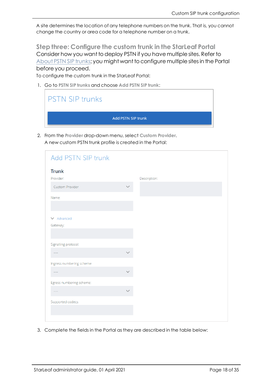<span id="page-17-0"></span>A site determines the location of any telephone numbers on the trunk. That is, you cannot change the country or area code for a telephone number on a trunk.

**Step three: Configure the custom trunk in the StarLeaf Portal** Consider how you want to deploy PSTN if you have multiple sites. Refer to [About](#page-3-0) PSTN SIP trunks; you might want to configure multiple sites in the Portal before you proceed.

To configure the custom trunk in the StarLeaf Portal:

1. Go to **PSTN SIP trunks** and choose **Add PSTN SIP trunk**:

| <b>PSTN SIP trunks</b> |                    |
|------------------------|--------------------|
|                        | Add PSTN SIP trunk |

2. From the **Provider** drop-down menu, select **Custom Provider**. A new custom PSTN trunk profile is created in the Portal:

| Add PSTN SIP trunk        |              |
|---------------------------|--------------|
| <b>Trunk</b>              |              |
| Provider:                 | Description: |
| Custom Provider           |              |
| Name:                     |              |
|                           |              |
|                           |              |
| $\vee$ Advanced           |              |
| Gateway:                  |              |
|                           |              |
| Signalling protocol:      |              |
| $\cdots$                  |              |
| Ingress numbering scheme: |              |
| $\cdots$                  |              |
|                           |              |
| Egress numbering scheme:  |              |
| $- - - -$                 |              |
| Supported codecs:         |              |
|                           |              |
|                           |              |

3. Complete the fields in the Portal as they are described in the table below: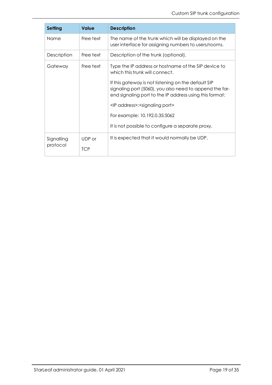| <b>Setting</b> | <b>Value</b> | <b>Description</b>                                                                                                                                                        |
|----------------|--------------|---------------------------------------------------------------------------------------------------------------------------------------------------------------------------|
| Name           | Free text    | The name of the trunk which will be displayed on the<br>user interface for assigning numbers to users/rooms.                                                              |
| Description    | Free text    | Description of the trunk (optional).                                                                                                                                      |
| Gateway        | Free text    | Type the IP address or hostname of the SIP device to<br>which this trunk will connect.                                                                                    |
|                |              | If this gateway is not listening on the default SIP<br>signaling port (5060), you also need to append the far-<br>end signaling port to the IP address using this format: |
|                |              | <ip address="">: <signaling port=""></signaling></ip>                                                                                                                     |
|                |              | For example: 10.192.0.35:5062                                                                                                                                             |
|                |              | It is not possible to configure a separate proxy.                                                                                                                         |
| Signalling     | UDP or       | It is expected that it would normally be UDP.                                                                                                                             |
| protocol       | <b>TCP</b>   |                                                                                                                                                                           |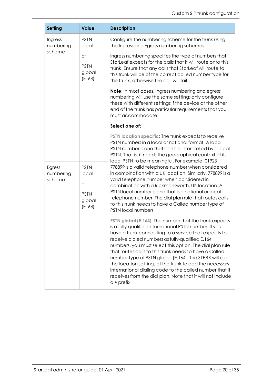| <b>Setting</b>       | <b>Value</b>                                 | <b>Description</b>                                                                                                                                                                                                                                                                                                                                                                                                                                                                                                                                                                                              |
|----------------------|----------------------------------------------|-----------------------------------------------------------------------------------------------------------------------------------------------------------------------------------------------------------------------------------------------------------------------------------------------------------------------------------------------------------------------------------------------------------------------------------------------------------------------------------------------------------------------------------------------------------------------------------------------------------------|
| Ingress<br>numbering | <b>PSTN</b><br>local                         | Configure the numbering scheme for the trunk using<br>the Ingress and Egress numbering schemes.                                                                                                                                                                                                                                                                                                                                                                                                                                                                                                                 |
| scheme               | <b>or</b><br><b>PSTN</b><br>global<br>(E164) | Ingress numbering specifies the type of numbers that<br>StarLeaf expects for the calls that it will route onto this<br>trunk. Ensure that any calls that StarLeaf will route to<br>this trunk will be of the correct called number type for<br>the trunk, otherwise the call will fail.                                                                                                                                                                                                                                                                                                                         |
|                      |                                              | <b>Note:</b> In most cases, ingress numbering and egress<br>numbering will use the same setting; only configure<br>these with different settings if the device at the other<br>end of the trunk has particular requirements that you<br>must accommodate.                                                                                                                                                                                                                                                                                                                                                       |
|                      |                                              | Select one of:                                                                                                                                                                                                                                                                                                                                                                                                                                                                                                                                                                                                  |
| Egress<br>numbering  | <b>PSTN</b><br>local                         | PSTN location specific: The trunk expects to receive<br>PSTN numbers in a local or national format. A local<br>PSTN number is one that can be interpreted by a local<br>PSTN. That is, it needs the geographical context of its<br>local PSTN to be meaningful. For example, 01923<br>778899 is a valid telephone number when considered<br>in combination with a UK location. Similarly, 778899 is a                                                                                                                                                                                                           |
| scheme               | <b>or</b><br><b>PSTN</b><br>global<br>(E164) | valid telephone number when considered in<br>combination with a Rickmansworth, UK location. A<br>PSTN local number is one that is a national or local<br>telephone number. The dial plan rule that routes calls<br>to this trunk needs to have a Called number type of<br>PSTN local numbers                                                                                                                                                                                                                                                                                                                    |
|                      |                                              | PSTN global (E.164): The number that the trunk expects<br>is a fully-qualified international PSTN number. If you<br>have a trunk connecting to a service that expects to<br>receive dialed numbers as fully-qualified E.164<br>numbers, you must select this option. The dial plan rule<br>that routes calls to this trunk needs to have a Called<br>number type of PSTN global (E.164). The STPBX will use<br>the location settings of the trunk to add the necessary<br>international dialing code to the called number that it<br>receives from the dial plan. Note that it will not include<br>$a + prefix$ |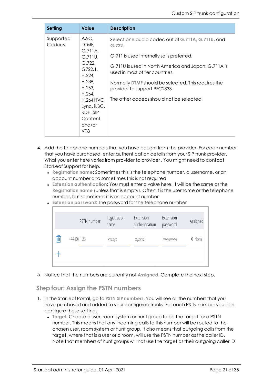| <b>Setting</b>      | <b>Value</b>                                                                                                                                                                       | <b>Description</b>                                                                                                                                                                                                                                                                                                                   |
|---------------------|------------------------------------------------------------------------------------------------------------------------------------------------------------------------------------|--------------------------------------------------------------------------------------------------------------------------------------------------------------------------------------------------------------------------------------------------------------------------------------------------------------------------------------|
| Supported<br>Codecs | AAC,<br>DTMF,<br>G.711A,<br>G.711U,<br>G.722,<br>G722.1<br>H.224,<br>H.239,<br>H.263,<br>H.264,<br>$H.264$ HVC<br>Lync, iLBC,<br>RDP, SIP<br>Content,<br>and/or<br>VP <sub>8</sub> | Select one audio codec out of G.711A, G.711U, and<br>G.722.<br>G.711 is used internally so is preferred.<br>G.711U is used in North America and Japan; G.711A is<br>used in most other countries.<br>Normally DTMF should be selected. This requires the<br>provider to support RFC2833.<br>The other codecs should not be selected. |

- 4. Add the telephone numbers that you have bought from the provider. For each number that you have purchased, enter authentication details from your SIP trunk provider. What you enter here varies from provider to provider . You might need to contact StarLeaf Support for help.
	- <sup>l</sup> **Registration name**: Sometimes this is the telephone number, a username, or an account number and sometimes this is not required
	- **Extension authentication: You must enter a value here. It will be the same as the Registration name** (unless that is empty). Often it is the username or the telephone number, but sometimes it is an account number

|  |  |  |  |  | • Extension password: The password for the telephone number |
|--|--|--|--|--|-------------------------------------------------------------|
|--|--|--|--|--|-------------------------------------------------------------|

| PSTN number  | Registration<br>name | Extension<br>authentication | Extension<br>password | Assigned |
|--------------|----------------------|-----------------------------|-----------------------|----------|
| $+44(0)$ 123 | xyzxyz               | XYZXYZ                      | WXYZWXYZ              | X None   |
|              |                      |                             |                       |          |

<span id="page-20-0"></span>5. Notice that the numbers are currently not **Assigned**. Complete the next step.

#### **Step four: Assign the PSTN numbers**

- 1. In the StarLeaf Portal, go to **PSTN SIP numbers**. You will see all the numbers that you have purchased and added to your configured trunks. For each PSTN number you can configure these settings:
	- **.** Target: Choose a user, room system or hunt group to be the target for a PSTN number. This means that any incoming calls to this number will be routed to the chosen user, room system or hunt group. It also means that outgoing calls from the target, where that is a user or a room, will use the PSTN number as the caller ID. Note that members of hunt groups will not use the target as their outgoing caller ID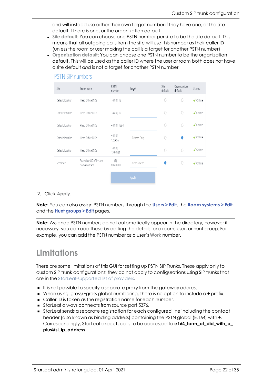and will instead use either their own target number if they have one, or the site default if there is one, or the organization default

- **Site default: You can choose one PSTN number per site to be the site default. This** means that all outgoing calls from the site will use this number as their caller ID (unless the room or user making the call is a target for another PSTN number)
- <sup>l</sup> **Organization default**: You can choose one PSTN number to be the organization default. This will be used as the caller ID where the user or room both does not have a site default *and* is not a target for another PSTN number



#### **PSTN SIP numbers**

#### 2. Click **Apply**.

**Note:** You can also assign PSTN numbers through the **Users > Edit**, the **Room systems > Edit**, and the **Hunt groups > Edit** pages.

<span id="page-21-0"></span>**Note:** Assigned PSTN numbers do not automatically appear in the directory, however if necessary, you can add these by editing the details for a room, user, or hunt group. For example, you can add the PSTN number as a user's **Work** number.

#### **Limitations**

There are some limitations of this GUI for setting up PSTN SIP Trunks. These apply only to custom SIP trunk configurations; they do not apply to configurations using SIP trunks that are in the [StarLeaf-supported](#page-9-0) list of providers.

- It is not possible to specify a separate proxy from the gateway address.
- When using Igress/Egress global numbering, there is no option to include a **+** prefix.
- <sup>n</sup> Caller ID is taken as the registration name for each number.
- StarLeaf always connects from source port 5376.
- <sup>n</sup> StarLeaf sends a separate registration for each configured line including the contact header (also known as binding address) containing the PSTN global (E.164) with **+**. Correspondingly, StarLeaf expects calls to be addressed to **e164\_form\_of\_did\_with\_a\_ plus@sl\_ip\_address**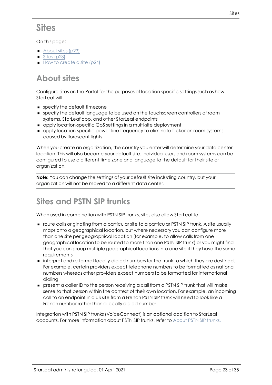## <span id="page-22-0"></span>**Sites**

#### On this page:

- [About](#page-22-1) sites (p23)
- $\blacksquare$  Sites [\(p23\)](#page-22-0)
- <span id="page-22-1"></span> $\blacksquare$  How to [create](#page-23-0) a site (p24)

## **About sites**

Configure sites on the Portal for the purposes of location-specific settings such as how StarLeaf will:

- **n** specify the default timezone
- <sup>n</sup> specify the default language to be used on the touchscreen controllers of room systems, StarLeaf app, and other StarLeaf endpoints
- <sup>n</sup> apply location-specific QoS settings in a multi-site deployment
- <sup>n</sup> apply location-specific power-line frequency to eliminate flicker on room systems caused by florescent lights

When you create an organization, the country you enter will determine your data center location. This will also become your default site. Individual users and room systems can be configured to use a different time zone and language to the default for their site or organization.

**Note:** You can change the settings of your default site including country, but your organization will not be moved to a different data center.

## <span id="page-22-2"></span>**Sites and PSTN SIP trunks**

When used in combination with PSTN SIP trunks, sites also allow StarLeaf to:

- <sup>n</sup> route calls originating from a particular site to a particular PSTN SIP trunk. A site usually maps onto a geographical location, but where necessary you can configure more than one site per geographical location (for example, to allow calls from one geographical location to be routed to more than one PSTN SIP trunk) or you might find that you can group multiple geographical locations into one site if they have the same requirements
- <sup>n</sup> interpret and re-format locally-dialed numbers for the trunk to which they are destined. For example, certain providers expect telephone numbers to be formatted as national numbers whereas other providers expect numbers to be formatted for international dialing
- <sup>n</sup> present a caller ID to the person receiving a call from a PSTN SIP trunk that will make sense to that person within the context of their own location. For example, an incoming call to an endpoint in a US site from a French PSTN SIP trunk will need to look like a French number rather than a locally dialed number

Integration with PSTN SIP trunks (VoiceConnect) is an optional addition to StarLeaf accounts. For more information about PSTN SIP trunks, refer to About PSTN SIP [trunks.](#page-3-0)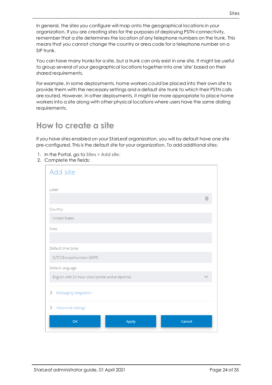In general, the sites you configure will map onto the geographical locations in your organization. If you are creating sites for the purposes of deploying PSTN connectivity, remember that a site determines the location of any telephone numbers on the trunk. This means that you cannot change the country or area code for a telephone number on a SIP trunk.

You can have many trunks for a site, but a trunk can only exist in one site. It might be useful to group several of your geographical locations together into one 'site' based on their shared requirements.

For example, in some deployments, home workers could be placed into their own site to provide them with the necessary settings and a default site trunk to which their PSTN calls are routed. However, in other deployments, it might be more appropriate to place home workers into a site along with other physical locations where users have the same dialing requirements.

### <span id="page-23-0"></span>**How to create a site**

If you have sites enabled on your StarLeaf organization, you will by default have one site pre-configured. This is the default site for your organization. To add additional sites:

- 1. In the Portal, go to **Sites > Add site:**
- 2. Complete the fields:

| Add site                                          |   |
|---------------------------------------------------|---|
| Label:                                            |   |
|                                                   | E |
| Country:                                          |   |
| <b>United States</b>                              |   |
| Area:                                             |   |
|                                                   |   |
| Default time zone:                                |   |
| [UTC] Europe/London (GMT)                         |   |
| Default language:                                 |   |
| English with 24-hour clock (portal and endpoints) |   |
| Messaging integration<br>⋋                        |   |
| Advanced settings<br>⋋                            |   |
| OK<br>Apply<br>Cancel                             |   |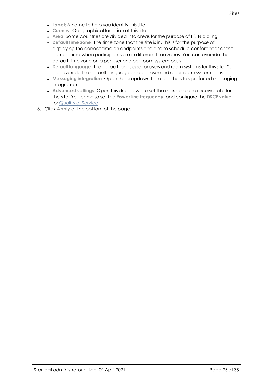- **Label:** A name to help you identify this site
- **Country: Geographical location of this site**
- **Area: Some countries are divided into areas for the purpose of PSTN dialing**
- **Default time zone: The time zone that the site is in. This is for the purpose of** displaying the correct time on endpoints and also to schedule conferences at the correct time when participants are in different time zones. You can override the default time zone on a per-user and per-room system basis
- **Default language: The default language for users and room systems for this site. You** can override the default language on a per-user and a per-room system basis
- **Messaging integration:** Open this dropdown to select the site's preferred messaging integration.
- <sup>l</sup> **Advanced settings**: Open this dropdown to set the max send and receive rate for the site. You can also set the **Power line frequency**, and configure the **DSCP value** for Quality of [Service](#page-27-0).
- 3. Click **Apply** at the bottom of the page.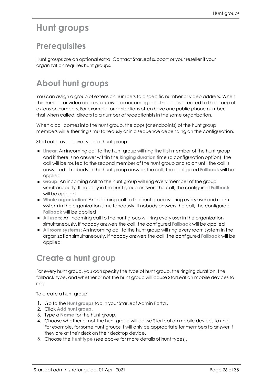## <span id="page-25-1"></span><span id="page-25-0"></span>**Hunt groups**

### **Prerequisites**

<span id="page-25-2"></span>Hunt groups are an optional extra. Contact StarLeaf support or your reseller if your organization requires hunt groups.

## **About hunt groups**

You can assign a group of extension numbers to a specific number or video address. When this number or video address receives an incoming call, the call is directed to the group of extension numbers. For example, organizations often have one public phone number, that when called, directs to a number of receptionists in the same organization.

When a call comes into the hunt group, the apps (or endpoints) of the hunt group members will either ring simultaneously or in a sequence depending on the configuration.

StarLeaf provides five types of hunt group:

- **If Linear:** An incoming call to the hunt group will ring the first member of the hunt group and if there is no answer within the **Ringing duration** time (a configuration option), the call will be routed to the second member of the hunt group and so on until the call is answered. If nobody in the hunt group answers the call, the configured **Fallback** will be applied
- <sup>n</sup> **Group**: An incoming call to the hunt group will ring every member of the group simultaneously. If nobody in the hunt group answers the call, the configured **Fallback** will be applied
- <sup>n</sup> **Whole organization**: An incoming call to the hunt group will ring every user and room system in the organization simultaneously. If nobody answers the call, the configured **Fallback** will be applied
- <sup>n</sup> **All users**: An incoming call to the hunt group will ring every user in the organization simultaneously. If nobody answers the call, the configured **Fallback** will be applied
- <sup>n</sup> **All room systems**: An incoming call to the hunt group will ring every room system in the organization simultaneously. If nobody answers the call, the configured **Fallback** will be applied

## <span id="page-25-3"></span>**Create a hunt group**

For every hunt group, you can specify the type of hunt group, the ringing duration, the fallback type, and whether or not the hunt group will cause StarLeaf on mobile devices to ring.

To create a hunt group:

- 1. Go to the **Hunt groups** tab In your StarLeaf Admin Portal.
- 2. Click **Add hunt group**.
- 3. Type a **Name** for the hunt group.
- 4. Choose whether or not the hunt group will cause StarLeaf on mobile devices to ring. For example, for some hunt groups it will only be appropriate for members to answer if they are at their desk on their desktop device.
- 5. Choose the **Hunt type** (see above for more details of hunt types).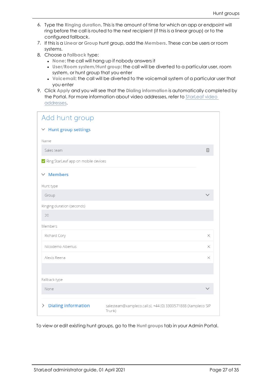- 6. Type the **Ringing duration**. This is the amount of time for which an app or endpoint will ring before the call is routed to the next recipient (if this is a linear group) or to the configured fallback.
- 7. If this is a **Linear** or **Group** hunt group, add the **Members**. These can be users or room systems.
- 8. Choose a **Fallback** type:
	- **.** None: the call will hang up if nobody answers it
	- <sup>l</sup> **User/Room system/Hunt group**: the call will be diverted to a particular user, room system, or hunt group that you enter
	- **Voicemail:** the call will be diverted to the voicemail system of a particular user that you enter
- 9. Click **Apply** and you will see that the **Dialing information** is automatically completed by the Portal. For more information about video addresses, refer to [StarLeaf](#page-28-3) video [addresses.](#page-28-3)

| Add hunt group                        |                                                                        |  |
|---------------------------------------|------------------------------------------------------------------------|--|
| $\vee$ Hunt group settings            |                                                                        |  |
| Name                                  |                                                                        |  |
| Sales team                            | 国                                                                      |  |
| × Ring StarLeaf app on mobile devices |                                                                        |  |
| $\times$ Members                      |                                                                        |  |
| Hunt type                             |                                                                        |  |
| Group                                 |                                                                        |  |
| Ringing duration (seconds)            |                                                                        |  |
| 20                                    |                                                                        |  |
| Members                               |                                                                        |  |
| Richard Cory                          | $\times$                                                               |  |
| Nicodemo Albertus                     | X                                                                      |  |
| Alexis Reena                          | X                                                                      |  |
|                                       |                                                                        |  |
| Fallback type                         |                                                                        |  |
| None                                  |                                                                        |  |
| <b>Dialing information</b><br>>       | salesteam@xampleco.call.sl, +44 (0) 3300571888 (Xampleco SIP<br>Trunk) |  |

To view or edit existing hunt groups, go to the **Hunt groups** tab in your Admin Portal.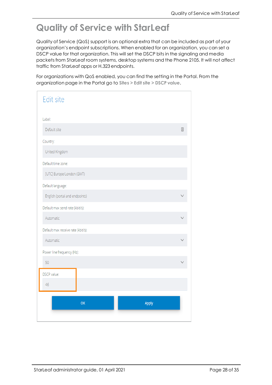## <span id="page-27-0"></span>**Quality of Service with StarLeaf**

Quality of Service (QoS) support is an optional extra that can be included as part of your organization's endpoint subscriptions. When enabled for an organization, you can set a DSCP value for that organization. This will set the DSCP bits in the signaling and media packets from StarLeaf room systems, desktop systems and the Phone 2105. It will not affect traffic from StarLeaf apps or H.323 endpoints.

For organizations with QoS enabled, you can find the setting in the Portal. From the organization page in the Portal go to **Sites > Edit site > DSCP value**.

| <b>Edit site</b>                   |       |
|------------------------------------|-------|
| Label:                             |       |
| Default site                       | Œ     |
| Country:                           |       |
| United Kingdom                     |       |
| Default time zone:                 |       |
| [UTC] Europe/London (GMT)          |       |
| Default language:                  |       |
| English (portal and endpoints)     |       |
| Default max send rate (kbit/s):    |       |
| Automatic                          |       |
| Default max receive rate (kbit/s): |       |
| Automatic                          |       |
| Power line frequency (Hz):         |       |
| 50                                 |       |
| DSCP value:                        |       |
| 46                                 |       |
| <b>OK</b>                          | Apply |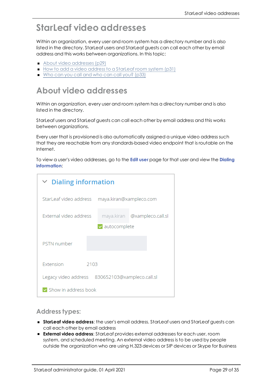## <span id="page-28-0"></span>**StarLeaf video addresses**

<span id="page-28-3"></span>Within an organization, every user and room system has a directory number and is also listed in the directory. StarLeaf users and StarLeaf guests can call each other by email address and this works between organizations. In this topic:

- About video [addresses](#page-28-1) (p29)
- <span id="page-28-1"></span>■ How to add a video address to a [StarLeaf](#page-30-1) room system (p31)
- Who can you call and who can call you? [\(p33\)](#page-32-0)

### **About video addresses**

Within an organization, every user and room system has a directory number and is also listed in the directory.

StarLeaf users and StarLeaf guests can call each other by email address and this works between organizations.

Every user that is provisioned is also automatically assigned a unique video address such that they are reachable from any standards-based video endpoint that is routable on the Internet.

To view a user's video addresses, go to the **Edit user** page for that user and view the **Dialing information**:

| $\vee$ Dialing information                      |                         |                              |  |
|-------------------------------------------------|-------------------------|------------------------------|--|
| StarLeaf video address                          | maya.kiran@xampleco.com |                              |  |
| External video address                          |                         | maya.kiran @xampleco.call.sl |  |
|                                                 | $\vee$ autocomplete     |                              |  |
| <b>PSTN</b> number                              |                         |                              |  |
| Extension<br>2103                               |                         |                              |  |
| Legacy video address 830652103@xampleco.call.sl |                         |                              |  |
| Show in address book                            |                         |                              |  |

#### <span id="page-28-2"></span>**Address types:**

- <sup>n</sup> **StarLeaf video address**: the user's email address. StarLeaf users and StarLeaf guests can call each other by email address
- <sup>n</sup> **External video address**: StarLeaf provides external addresses for each user, room system, and scheduled meeting. An external video address is to be used by people outside the organization who are using H.323 devices or SIP devices or Skype for Business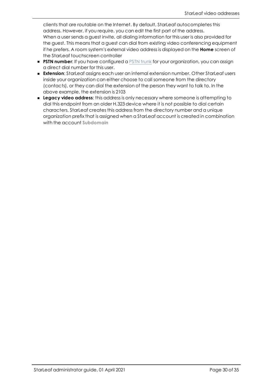clients that are routable on the Internet. By default, StarLeaf autocompletes this address. However, if you require, you can edit the first part of the address. When a user sends a guest invite, all dialing information for this user is also provided for the guest. This means that a guest can dial from existing video conferencing equipment if he prefers. A room system's external video address is displayed on the **Home** screen of the StarLeaf touchscreen controller

- **PSTN number:** If you have configured a PSTN trunk for your organization, you can assign a direct dial number for this user.
- **Extension:** StarLeaf assigns each user an internal extension number. Other StarLeaf users inside your organization can either choose to call someone from the directory (contacts), or they can dial the extension of the person they want to talk to. In the above example, the extension is 2103
- **Example 20 and <b>Legacy** video address: this address is only necessary where someone is attempting to dial this endpoint from an older H.323 device where it is not possible to dial certain characters. StarLeaf creates this address from the directory number and a unique organization prefix that is assigned when a StarLeaf account is created in combination with the account **Subdomain**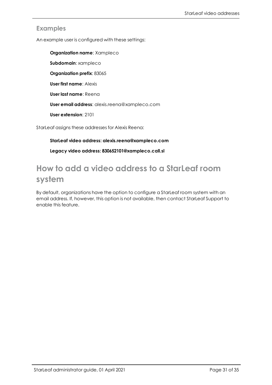#### <span id="page-30-0"></span>**Examples**

An example user is configured with these settings:

**Organization name**: Xampleco **Subdomain**: xampleco **Organization prefix**: 83065 **User first name**: Alexis **User last name**: Reena **User email address**: alexis.reena@xampleco.com **User extension**: 2101

<span id="page-30-1"></span>StarLeaf assigns these addresses for Alexis Reena:

#### **StarLeaf video address: alexis.reena@xampleco.com**

**Legacy video address: 830652101@xampleco.call.sl**

### **How to add a video address to a StarLeaf room system**

By default, organizations have the option to configure a StarLeaf room system with an email address. If, however, this option is not available, then contact StarLeaf Support to enable this feature.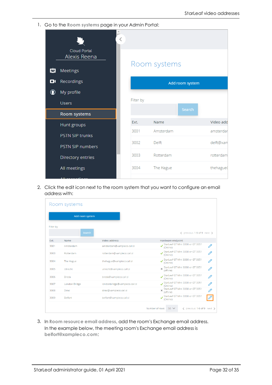1. Go to the **Room systems** page in your Admin Portal:

|              | Cloud Portal<br>Alexis Reena  |           | Room systems |                 |           |
|--------------|-------------------------------|-----------|--------------|-----------------|-----------|
| 202<br>о     | <b>Meetings</b><br>Recordings |           |              | Add room system |           |
| $\bf \Omega$ | My profile<br><b>Users</b>    | Filter by |              | Search          |           |
|              | Room systems                  |           |              |                 |           |
|              | Hunt groups                   | Ext.      | Name         |                 | Video add |
|              | <b>PSTN SIP trunks</b>        | 3001      | Amsterdam    |                 | amsterdar |
|              | PSTN SIP numbers              | 3002      | Delft        |                 | delft@xam |
|              | Directory entries             | 3003      | Rotterdam    |                 | rotterdam |
|              | All meetings                  | 3004      | The Hague    |                 | thehague( |

2. Click the edit icon next to the room system that you want to configure an email address with:

|           | Room systems    |                               |                                                           |
|-----------|-----------------|-------------------------------|-----------------------------------------------------------|
|           | Add room system |                               |                                                           |
| Filter by | Search          |                               | < previous 1-9 of 9 next >                                |
| Ext.      | Name            | Video address                 | Hardware endpoint                                         |
| 3001      | Amsterdam       | amsterdam@xampleco.call.sl    | StarLeaf GT Mini 3330 or GT 3351<br>P<br>(Online)         |
| 3003      | Rotterdam       | rotterdam@xampleco.call.sl    | P<br>StarLeaf GT Mini 3330 or GT 3351<br>(Online)         |
| 3004      | The Hague       | thehague@xampleco.call.sl     | StarLeaf GT Mini 3330 or GT 3351<br>P<br>(Online)         |
| 3005      | Utrecht         | utrecht@xampleco.call.sl      | StarLeaf GT Mini 3330 or GT 3351<br>O<br>(offline)        |
| 3006      | Breda           | breda@xampleco.call.sl        | StarLeaf GT Mini 3330 or GT 3351<br>O<br>(Online)         |
| 3007      | London Bridge   | londonbridge@xampleco.call.sl | StarLeaf GT Mini 3330 or GT 3351<br>O<br>(Online)         |
| 3008      | Dirac           | dirac@xampleco.call.sl        | StarLeaf GT Mini 3330 or GT 3351<br>P<br>(offline)        |
| 3009      | Belfort         | belfort@xampleco.call.sl      | StarLeaf GT Mini 3330 or GT 3351<br>(Online)              |
|           |                 |                               | Number of rows<br>$50 \vee$<br>< previous 1-9 of 9 next > |

3. In **Room resource email address**, add the room's Exchange email address. In the example below, the meeting room's Exchange email address is **belfort@xampleco.com**: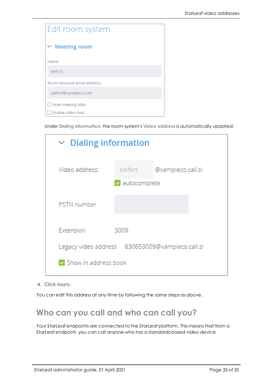| Edit room system             |  |  |
|------------------------------|--|--|
| $\vee$ Meeting room          |  |  |
| Name:                        |  |  |
| <b>Belfort</b>               |  |  |
| Room resource email address: |  |  |
| belfort@xampleco.com         |  |  |
| Hide meeting titles          |  |  |
| Enable video mail            |  |  |

Under **Dialing information**, the room system's **Video address** is automatically updated:

| $\vee$ Dialing information                      |         |                   |  |
|-------------------------------------------------|---------|-------------------|--|
| Video address:                                  | belfort | @xampleco.call.sl |  |
| v autocomplete                                  |         |                   |  |
| <b>PSTN</b> number                              |         |                   |  |
| Extension<br>3009                               |         |                   |  |
| Legacy video address 830653009@xampleco.call.sl |         |                   |  |
| Show in address book                            |         |                   |  |

4. Click **Apply**.

<span id="page-32-0"></span>You can edit this address at any time by following the same steps as above.

### **Who can you call and who can call you?**

Your StarLeaf endpoints are connected to the StarLeaf platform. This means that from a StarLeaf endpoint, you can call anyone who has a standards-based video device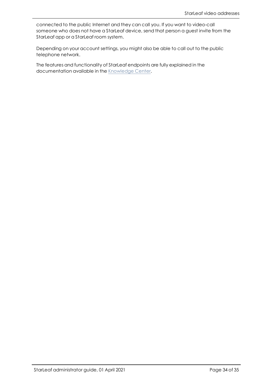connected to the public Internet and they can call you. If you want to video-call someone who does not have a StarLeaf device, send that person a guest invite from the StarLeaf app or a StarLeaf room system.

Depending on your account settings, you might also be able to call out to the public telephone network.

The features and functionality of StarLeaf endpoints are fully explained in the documentation available in the [Knowledge](https://support.starleaf.com/) Center.